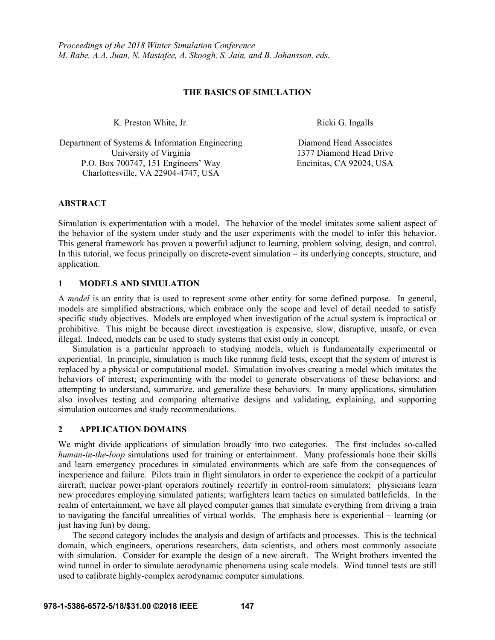# **THE BASICS OF SIMULATION**

K. Preston White, Jr. **Ricki G. Ingalls** 

Department of Systems & Information Engineering Diamond Head Associates University of Virginia 1377 Diamond Head Drive P.O. Box 700747, 151 Engineers' Way Encinitas, CA 92024, USA Charlottesville, VA 22904-4747, USA

# **ABSTRACT**

Simulation is experimentation with a model. The behavior of the model imitates some salient aspect of the behavior of the system under study and the user experiments with the model to infer this behavior. This general framework has proven a powerful adjunct to learning, problem solving, design, and control. In this tutorial, we focus principally on discrete-event simulation – its underlying concepts, structure, and application.

# **1 MODELS AND SIMULATION**

A *model* is an entity that is used to represent some other entity for some defined purpose. In general, models are simplified abstractions, which embrace only the scope and level of detail needed to satisfy specific study objectives. Models are employed when investigation of the actual system is impractical or prohibitive. This might be because direct investigation is expensive, slow, disruptive, unsafe, or even illegal. Indeed, models can be used to study systems that exist only in concept.

Simulation is a particular approach to studying models, which is fundamentally experimental or experiential. In principle, simulation is much like running field tests, except that the system of interest is replaced by a physical or computational model. Simulation involves creating a model which imitates the behaviors of interest; experimenting with the model to generate observations of these behaviors; and attempting to understand, summarize, and generalize these behaviors. In many applications, simulation also involves testing and comparing alternative designs and validating, explaining, and supporting simulation outcomes and study recommendations.

# **2 APPLICATION DOMAINS**

We might divide applications of simulation broadly into two categories. The first includes so-called *human-in-the-loop* simulations used for training or entertainment. Many professionals hone their skills and learn emergency procedures in simulated environments which are safe from the consequences of inexperience and failure. Pilots train in flight simulators in order to experience the cockpit of a particular aircraft; nuclear power-plant operators routinely recertify in control-room simulators; physicians learn new procedures employing simulated patients; warfighters learn tactics on simulated battlefields. In the realm of entertainment, we have all played computer games that simulate everything from driving a train to navigating the fanciful unrealities of virtual worlds. The emphasis here is experiential – learning (or just having fun) by doing.

The second category includes the analysis and design of artifacts and processes. This is the technical domain, which engineers, operations researchers, data scientists, and others most commonly associate with simulation. Consider for example the design of a new aircraft. The Wright brothers invented the wind tunnel in order to simulate aerodynamic phenomena using scale models. Wind tunnel tests are still used to calibrate highly-complex aerodynamic computer simulations.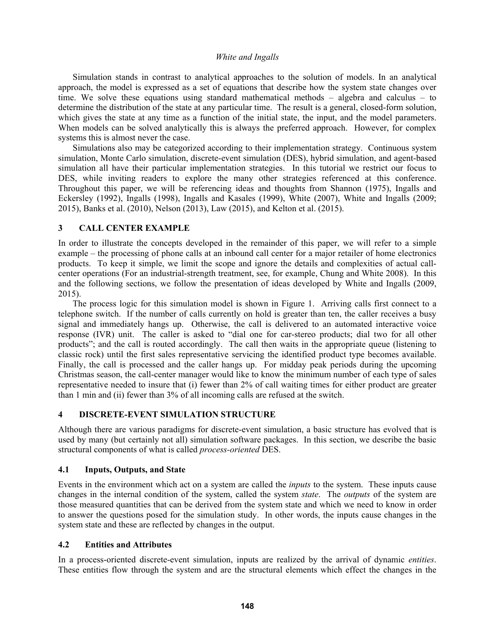Simulation stands in contrast to analytical approaches to the solution of models. In an analytical approach, the model is expressed as a set of equations that describe how the system state changes over time. We solve these equations using standard mathematical methods – algebra and calculus – to determine the distribution of the state at any particular time. The result is a general, closed-form solution, which gives the state at any time as a function of the initial state, the input, and the model parameters. When models can be solved analytically this is always the preferred approach. However, for complex systems this is almost never the case.

Simulations also may be categorized according to their implementation strategy. Continuous system simulation, Monte Carlo simulation, discrete-event simulation (DES), hybrid simulation, and agent-based simulation all have their particular implementation strategies. In this tutorial we restrict our focus to DES, while inviting readers to explore the many other strategies referenced at this conference. Throughout this paper, we will be referencing ideas and thoughts from Shannon (1975), Ingalls and Eckersley (1992), Ingalls (1998), Ingalls and Kasales (1999), White (2007), White and Ingalls (2009; 2015), Banks et al. (2010), Nelson (2013), Law (2015), and Kelton et al. (2015).

# **3 CALL CENTER EXAMPLE**

In order to illustrate the concepts developed in the remainder of this paper, we will refer to a simple example – the processing of phone calls at an inbound call center for a major retailer of home electronics products. To keep it simple, we limit the scope and ignore the details and complexities of actual callcenter operations (For an industrial-strength treatment, see, for example, Chung and White 2008). In this and the following sections, we follow the presentation of ideas developed by White and Ingalls (2009, 2015).

The process logic for this simulation model is shown in Figure 1. Arriving calls first connect to a telephone switch. If the number of calls currently on hold is greater than ten, the caller receives a busy signal and immediately hangs up. Otherwise, the call is delivered to an automated interactive voice response (IVR) unit. The caller is asked to "dial one for car-stereo products; dial two for all other products"; and the call is routed accordingly. The call then waits in the appropriate queue (listening to classic rock) until the first sales representative servicing the identified product type becomes available. Finally, the call is processed and the caller hangs up. For midday peak periods during the upcoming Christmas season, the call-center manager would like to know the minimum number of each type of sales representative needed to insure that (i) fewer than 2% of call waiting times for either product are greater than 1 min and (ii) fewer than 3% of all incoming calls are refused at the switch.

# **4 DISCRETE-EVENT SIMULATION STRUCTURE**

Although there are various paradigms for discrete-event simulation, a basic structure has evolved that is used by many (but certainly not all) simulation software packages. In this section, we describe the basic structural components of what is called *process-oriented* DES.

## **4.1 Inputs, Outputs, and State**

Events in the environment which act on a system are called the *inputs* to the system. These inputs cause changes in the internal condition of the system, called the system *state*. The *outputs* of the system are those measured quantities that can be derived from the system state and which we need to know in order to answer the questions posed for the simulation study. In other words, the inputs cause changes in the system state and these are reflected by changes in the output.

# **4.2 Entities and Attributes**

In a process-oriented discrete-event simulation, inputs are realized by the arrival of dynamic *entities*. These entities flow through the system and are the structural elements which effect the changes in the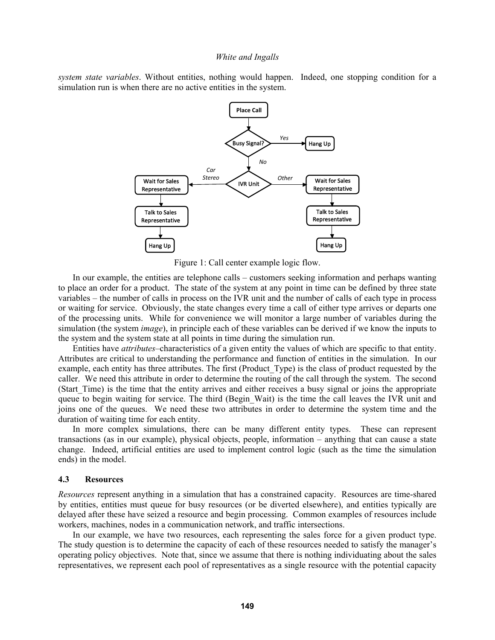*system state variables*. Without entities, nothing would happen. Indeed, one stopping condition for a simulation run is when there are no active entities in the system.



Figure 1: Call center example logic flow.

In our example, the entities are telephone calls – customers seeking information and perhaps wanting to place an order for a product. The state of the system at any point in time can be defined by three state variables – the number of calls in process on the IVR unit and the number of calls of each type in process or waiting for service. Obviously, the state changes every time a call of either type arrives or departs one of the processing units. While for convenience we will monitor a large number of variables during the simulation (the system *image*), in principle each of these variables can be derived if we know the inputs to the system and the system state at all points in time during the simulation run.

Entities have *attributes*–characteristics of a given entity the values of which are specific to that entity. Attributes are critical to understanding the performance and function of entities in the simulation. In our example, each entity has three attributes. The first (Product\_Type) is the class of product requested by the caller. We need this attribute in order to determine the routing of the call through the system. The second (Start Time) is the time that the entity arrives and either receives a busy signal or joins the appropriate queue to begin waiting for service. The third (Begin Wait) is the time the call leaves the IVR unit and joins one of the queues. We need these two attributes in order to determine the system time and the duration of waiting time for each entity.

In more complex simulations, there can be many different entity types. These can represent transactions (as in our example), physical objects, people, information – anything that can cause a state change. Indeed, artificial entities are used to implement control logic (such as the time the simulation ends) in the model.

## **4.3 Resources**

*Resources* represent anything in a simulation that has a constrained capacity. Resources are time-shared by entities, entities must queue for busy resources (or be diverted elsewhere), and entities typically are delayed after these have seized a resource and begin processing. Common examples of resources include workers, machines, nodes in a communication network, and traffic intersections.

In our example, we have two resources, each representing the sales force for a given product type. The study question is to determine the capacity of each of these resources needed to satisfy the manager's operating policy objectives. Note that, since we assume that there is nothing individuating about the sales representatives, we represent each pool of representatives as a single resource with the potential capacity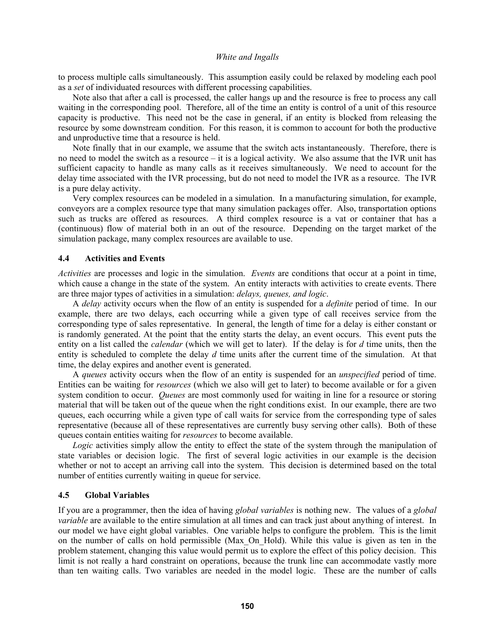to process multiple calls simultaneously. This assumption easily could be relaxed by modeling each pool as a *set* of individuated resources with different processing capabilities.

Note also that after a call is processed, the caller hangs up and the resource is free to process any call waiting in the corresponding pool. Therefore, all of the time an entity is control of a unit of this resource capacity is productive. This need not be the case in general, if an entity is blocked from releasing the resource by some downstream condition. For this reason, it is common to account for both the productive and unproductive time that a resource is held.

Note finally that in our example, we assume that the switch acts instantaneously. Therefore, there is no need to model the switch as a resource – it is a logical activity. We also assume that the IVR unit has sufficient capacity to handle as many calls as it receives simultaneously. We need to account for the delay time associated with the IVR processing, but do not need to model the IVR as a resource. The IVR is a pure delay activity.

Very complex resources can be modeled in a simulation. In a manufacturing simulation, for example, conveyors are a complex resource type that many simulation packages offer. Also, transportation options such as trucks are offered as resources. A third complex resource is a vat or container that has a (continuous) flow of material both in an out of the resource. Depending on the target market of the simulation package, many complex resources are available to use.

## **4.4 Activities and Events**

*Activities* are processes and logic in the simulation. *Events* are conditions that occur at a point in time, which cause a change in the state of the system. An entity interacts with activities to create events. There are three major types of activities in a simulation: *delays, queues, and logic*.

A *delay* activity occurs when the flow of an entity is suspended for a *definite* period of time. In our example, there are two delays, each occurring while a given type of call receives service from the corresponding type of sales representative. In general, the length of time for a delay is either constant or is randomly generated. At the point that the entity starts the delay, an event occurs. This event puts the entity on a list called the *calendar* (which we will get to later). If the delay is for *d* time units, then the entity is scheduled to complete the delay *d* time units after the current time of the simulation. At that time, the delay expires and another event is generated.

A *queues* activity occurs when the flow of an entity is suspended for an *unspecified* period of time. Entities can be waiting for *resources* (which we also will get to later) to become available or for a given system condition to occur. *Queues* are most commonly used for waiting in line for a resource or storing material that will be taken out of the queue when the right conditions exist. In our example, there are two queues, each occurring while a given type of call waits for service from the corresponding type of sales representative (because all of these representatives are currently busy serving other calls). Both of these queues contain entities waiting for *resources* to become available.

*Logic* activities simply allow the entity to effect the state of the system through the manipulation of state variables or decision logic. The first of several logic activities in our example is the decision whether or not to accept an arriving call into the system. This decision is determined based on the total number of entities currently waiting in queue for service.

#### **4.5 Global Variables**

If you are a programmer, then the idea of having *global variables* is nothing new. The values of a *global variable* are available to the entire simulation at all times and can track just about anything of interest. In our model we have eight global variables. One variable helps to configure the problem. This is the limit on the number of calls on hold permissible (Max\_On\_Hold). While this value is given as ten in the problem statement, changing this value would permit us to explore the effect of this policy decision. This limit is not really a hard constraint on operations, because the trunk line can accommodate vastly more than ten waiting calls. Two variables are needed in the model logic. These are the number of calls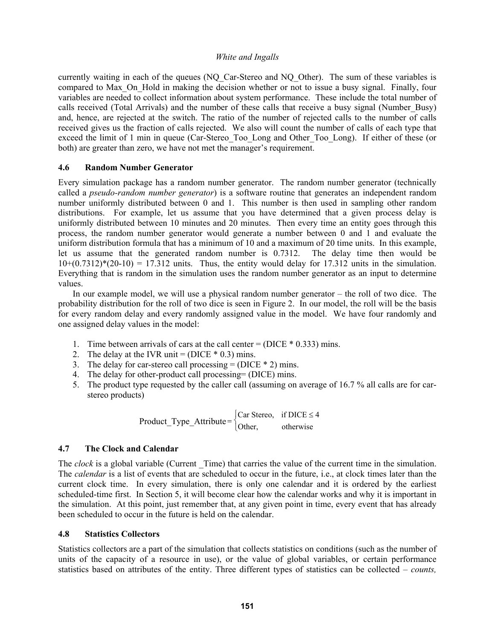currently waiting in each of the queues (NQ\_Car-Stereo and NQ\_Other). The sum of these variables is compared to Max On Hold in making the decision whether or not to issue a busy signal. Finally, four variables are needed to collect information about system performance. These include the total number of calls received (Total Arrivals) and the number of these calls that receive a busy signal (Number\_Busy) and, hence, are rejected at the switch. The ratio of the number of rejected calls to the number of calls received gives us the fraction of calls rejected. We also will count the number of calls of each type that exceed the limit of 1 min in queue (Car-Stereo\_Too\_Long and Other\_Too\_Long). If either of these (or both) are greater than zero, we have not met the manager's requirement.

## **4.6 Random Number Generator**

Every simulation package has a random number generator. The random number generator (technically called a *pseudo-random number generator*) is a software routine that generates an independent random number uniformly distributed between 0 and 1. This number is then used in sampling other random distributions. For example, let us assume that you have determined that a given process delay is uniformly distributed between 10 minutes and 20 minutes. Then every time an entity goes through this process, the random number generator would generate a number between 0 and 1 and evaluate the uniform distribution formula that has a minimum of 10 and a maximum of 20 time units. In this example, let us assume that the generated random number is 0.7312. The delay time then would be  $10+(0.7312)*(20-10) = 17.312$  units. Thus, the entity would delay for 17.312 units in the simulation. Everything that is random in the simulation uses the random number generator as an input to determine values.

In our example model, we will use a physical random number generator – the roll of two dice. The probability distribution for the roll of two dice is seen in Figure 2. In our model, the roll will be the basis for every random delay and every randomly assigned value in the model. We have four randomly and one assigned delay values in the model:

- 1. Time between arrivals of cars at the call center  $=$  (DICE  $*$  0.333) mins.
- 2. The delay at the IVR unit  $=$  (DICE  $*$  0.3) mins.
- 3. The delay for car-stereo call processing  $=$  (DICE  $*$  2) mins.
- 4. The delay for other-product call processing= (DICE) mins.
- 5. The product type requested by the caller call (assuming on average of 16.7 % all calls are for carstereo products)

 $Product\_Type\_Attribute = \begin{cases} Car Stereo, & \text{if DICE } \leq 4 \\ Other, & \text{otherwise} \end{cases}$  $\left\lceil \right\rceil$  $\Big\{$ 

# **4.7 The Clock and Calendar**

The *clock* is a global variable (Current Time) that carries the value of the current time in the simulation. The *calendar* is a list of events that are scheduled to occur in the future, i.e., at clock times later than the current clock time. In every simulation, there is only one calendar and it is ordered by the earliest scheduled-time first. In Section 5, it will become clear how the calendar works and why it is important in the simulation. At this point, just remember that, at any given point in time, every event that has already been scheduled to occur in the future is held on the calendar.

# **4.8 Statistics Collectors**

Statistics collectors are a part of the simulation that collects statistics on conditions (such as the number of units of the capacity of a resource in use), or the value of global variables, or certain performance statistics based on attributes of the entity. Three different types of statistics can be collected – *counts,*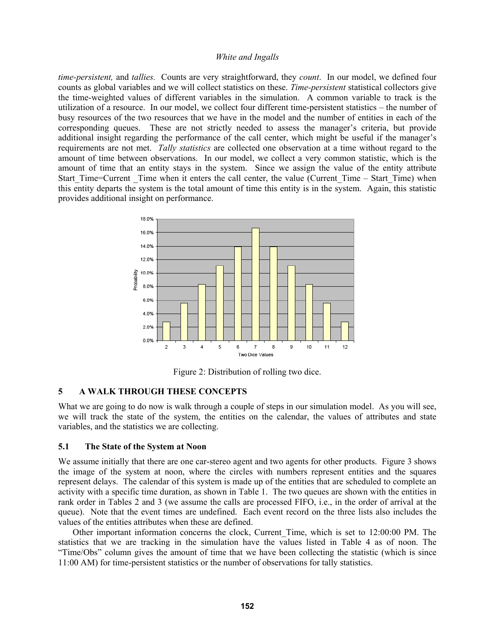*time-persistent,* and *tallies.* Counts are very straightforward, they *count*. In our model, we defined four counts as global variables and we will collect statistics on these. *Time-persistent* statistical collectors give the time-weighted values of different variables in the simulation. A common variable to track is the utilization of a resource. In our model, we collect four different time-persistent statistics – the number of busy resources of the two resources that we have in the model and the number of entities in each of the corresponding queues. These are not strictly needed to assess the manager's criteria, but provide additional insight regarding the performance of the call center, which might be useful if the manager's requirements are not met. *Tally statistics* are collected one observation at a time without regard to the amount of time between observations. In our model, we collect a very common statistic, which is the amount of time that an entity stays in the system. Since we assign the value of the entity attribute Start  $Time=Current$  Time when it enters the call center, the value (Current Time – Start Time) when this entity departs the system is the total amount of time this entity is in the system. Again, this statistic provides additional insight on performance.



Figure 2: Distribution of rolling two dice.

# **5 A WALK THROUGH THESE CONCEPTS**

What we are going to do now is walk through a couple of steps in our simulation model. As you will see, we will track the state of the system, the entities on the calendar, the values of attributes and state variables, and the statistics we are collecting.

# **5.1 The State of the System at Noon**

We assume initially that there are one car-stereo agent and two agents for other products. Figure 3 shows the image of the system at noon, where the circles with numbers represent entities and the squares represent delays. The calendar of this system is made up of the entities that are scheduled to complete an activity with a specific time duration, as shown in Table 1. The two queues are shown with the entities in rank order in Tables 2 and 3 (we assume the calls are processed FIFO, i.e., in the order of arrival at the queue). Note that the event times are undefined. Each event record on the three lists also includes the values of the entities attributes when these are defined.

Other important information concerns the clock, Current\_Time, which is set to 12:00:00 PM. The statistics that we are tracking in the simulation have the values listed in Table 4 as of noon. The "Time/Obs" column gives the amount of time that we have been collecting the statistic (which is since 11:00 AM) for time-persistent statistics or the number of observations for tally statistics.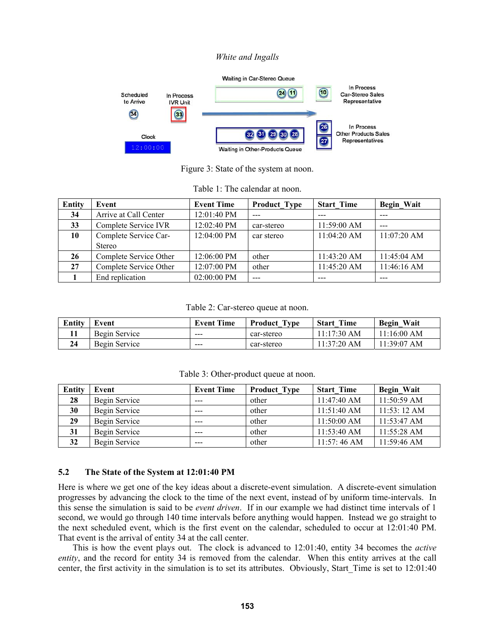

Figure 3: State of the system at noon.

Table 1: The calendar at noon.

| <b>Entity</b> | Event                  | <b>Event Time</b>     | <b>Product Type</b> | <b>Start Time</b> | Begin Wait    |
|---------------|------------------------|-----------------------|---------------------|-------------------|---------------|
| 34            | Arrive at Call Center  | 12:01:40 PM           |                     |                   |               |
| 33            | Complete Service IVR   | $12:02:40 \text{ PM}$ | car-stereo          | 11:59:00 AM       | $---$         |
| 10            | Complete Service Car-  | $12:04:00 \text{ PM}$ | car stereo          | $11:04:20$ AM     | $11:07:20$ AM |
|               | <b>Stereo</b>          |                       |                     |                   |               |
| 26            | Complete Service Other | 12:06:00 PM           | other               | 11:43:20 AM       | 11:45:04 AM   |
| 27            | Complete Service Other | 12:07:00 PM           | other               | 11:45:20 AM       | 11:46:16 AM   |
|               | End replication        | 02:00:00 PM           |                     |                   |               |

Table 2: Car-stereo queue at noon.

| Entity | Event         | <b>Event Time</b> | <b>Product Type</b> | <b>Time</b><br><b>Start</b> | Begin Wait    |
|--------|---------------|-------------------|---------------------|-----------------------------|---------------|
| . .    | Begin Service | ---               | car-stereo          | 11:17:30 AM                 | 11:16:00 AM   |
| 24     | Begin Service | ---               | car-stereo          | 11:37:20 AM                 | $11:39:07$ AM |

Table 3: Other-product queue at noon.

| <b>Entity</b> | Event         | <b>Event Time</b> | <b>Product Type</b> | <b>Start Time</b> | <b>Begin Wait</b> |
|---------------|---------------|-------------------|---------------------|-------------------|-------------------|
| 28            | Begin Service | ---               | other               | 11:47:40 AM       | 11:50:59 AM       |
| 30            | Begin Service | ---               | other               | 11:51:40 AM       | 11:53:12 AM       |
| 29            | Begin Service | ---               | other               | 11:50:00 AM       | 11:53:47 AM       |
| 31            | Begin Service | ---               | other               | 11:53:40 AM       | 11:55:28 AM       |
| 32            | Begin Service | ---               | other               | 11:57:46 AM       | 11:59:46 AM       |

## **5.2 The State of the System at 12:01:40 PM**

Here is where we get one of the key ideas about a discrete-event simulation. A discrete-event simulation progresses by advancing the clock to the time of the next event, instead of by uniform time-intervals. In this sense the simulation is said to be *event driven*. If in our example we had distinct time intervals of 1 second, we would go through 140 time intervals before anything would happen. Instead we go straight to the next scheduled event, which is the first event on the calendar, scheduled to occur at 12:01:40 PM. That event is the arrival of entity 34 at the call center.

This is how the event plays out. The clock is advanced to 12:01:40, entity 34 becomes the *active entity*, and the record for entity 34 is removed from the calendar. When this entity arrives at the call center, the first activity in the simulation is to set its attributes. Obviously, Start\_Time is set to 12:01:40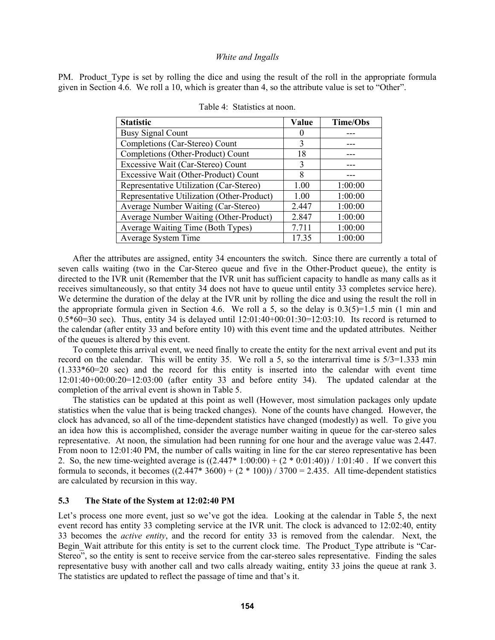PM. Product Type is set by rolling the dice and using the result of the roll in the appropriate formula given in Section 4.6. We roll a 10, which is greater than 4, so the attribute value is set to "Other".

| <b>Statistic</b>                           | Value    | Time/Obs |
|--------------------------------------------|----------|----------|
| <b>Busy Signal Count</b>                   | $\theta$ |          |
| Completions (Car-Stereo) Count             | 3        |          |
| Completions (Other-Product) Count          | 18       |          |
| Excessive Wait (Car-Stereo) Count          | 3        |          |
| Excessive Wait (Other-Product) Count       | 8        |          |
| Representative Utilization (Car-Stereo)    | 1.00     | 1:00:00  |
| Representative Utilization (Other-Product) | 1.00     | 1:00:00  |
| Average Number Waiting (Car-Stereo)        | 2.447    | 1:00:00  |
| Average Number Waiting (Other-Product)     | 2.847    | 1:00:00  |
| Average Waiting Time (Both Types)          | 7.711    | 1:00:00  |
| Average System Time                        | 17.35    | 1:00:00  |

Table 4: Statistics at noon.

After the attributes are assigned, entity 34 encounters the switch. Since there are currently a total of seven calls waiting (two in the Car-Stereo queue and five in the Other-Product queue), the entity is directed to the IVR unit (Remember that the IVR unit has sufficient capacity to handle as many calls as it receives simultaneously, so that entity 34 does not have to queue until entity 33 completes service here). We determine the duration of the delay at the IVR unit by rolling the dice and using the result the roll in the appropriate formula given in Section 4.6. We roll a 5, so the delay is  $0.3(5)=1.5$  min (1 min and  $0.5*60=30$  sec). Thus, entity 34 is delayed until  $12:01:40+00:01:30=12:03:10$ . Its record is returned to the calendar (after entity 33 and before entity 10) with this event time and the updated attributes. Neither of the queues is altered by this event.

To complete this arrival event, we need finally to create the entity for the next arrival event and put its record on the calendar. This will be entity 35. We roll a 5, so the interarrival time is 5/3=1.333 min (1.333\*60=20 sec) and the record for this entity is inserted into the calendar with event time 12:01:40+00:00:20=12:03:00 (after entity 33 and before entity 34). The updated calendar at the completion of the arrival event is shown in Table 5.

The statistics can be updated at this point as well (However, most simulation packages only update statistics when the value that is being tracked changes). None of the counts have changed. However, the clock has advanced, so all of the time-dependent statistics have changed (modestly) as well. To give you an idea how this is accomplished, consider the average number waiting in queue for the car-stereo sales representative. At noon, the simulation had been running for one hour and the average value was 2.447. From noon to 12:01:40 PM, the number of calls waiting in line for the car stereo representative has been 2. So, the new time-weighted average is  $((2.447 * 1:00:00) + (2 * 0:01:40)) / 1:01:40$ . If we convert this formula to seconds, it becomes  $((2.447 * 3600) + (2 * 100))$  / 3700 = 2.435. All time-dependent statistics are calculated by recursion in this way.

#### **5.3 The State of the System at 12:02:40 PM**

Let's process one more event, just so we've got the idea. Looking at the calendar in Table 5, the next event record has entity 33 completing service at the IVR unit. The clock is advanced to 12:02:40, entity 33 becomes the *active entity*, and the record for entity 33 is removed from the calendar. Next, the Begin Wait attribute for this entity is set to the current clock time. The Product Type attribute is "Car-Stereo", so the entity is sent to receive service from the car-stereo sales representative. Finding the sales representative busy with another call and two calls already waiting, entity 33 joins the queue at rank 3. The statistics are updated to reflect the passage of time and that's it.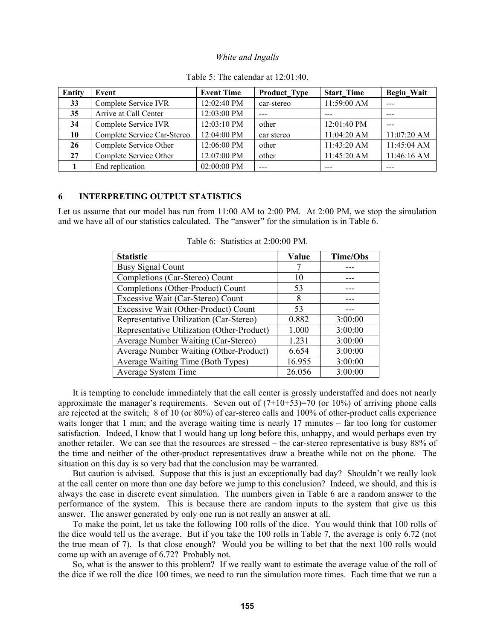| <b>Entity</b> | Event                       | <b>Event Time</b>     | <b>Product Type</b> | <b>Start Time</b> | Begin Wait    |
|---------------|-----------------------------|-----------------------|---------------------|-------------------|---------------|
| 33            | Complete Service IVR        | $12:02:40 \text{ PM}$ | car-stereo          | 11:59:00 AM       |               |
| 35            | Arrive at Call Center       | 12:03:00 PM           | $---$               | ---               | ---           |
| 34            | Complete Service IVR        | 12:03:10 PM           | other               | 12:01:40 PM       |               |
| 10            | Complete Service Car-Stereo | $12:04:00 \text{ PM}$ | car stereo          | $11:04:20$ AM     | $11:07:20$ AM |
| 26            | Complete Service Other      | 12:06:00 PM           | other               | $11:43:20$ AM     | 11:45:04 AM   |
| 27            | Complete Service Other      | $12:07:00 \text{ PM}$ | other               | 11:45:20 AM       | 11:46:16 AM   |
|               | End replication             | 02:00:00 PM           | ---                 |                   |               |

Table 5: The calendar at 12:01:40.

### **6 INTERPRETING OUTPUT STATISTICS**

Let us assume that our model has run from 11:00 AM to 2:00 PM. At 2:00 PM, we stop the simulation and we have all of our statistics calculated. The "answer" for the simulation is in Table 6.

| <b>Statistic</b>                           | Value  | Time/Obs |
|--------------------------------------------|--------|----------|
| <b>Busy Signal Count</b>                   |        |          |
| Completions (Car-Stereo) Count             | 10     |          |
| Completions (Other-Product) Count          | 53     |          |
| Excessive Wait (Car-Stereo) Count          | 8      |          |
| Excessive Wait (Other-Product) Count       | 53     |          |
| Representative Utilization (Car-Stereo)    | 0.882  | 3:00:00  |
| Representative Utilization (Other-Product) | 1.000  | 3:00:00  |
| Average Number Waiting (Car-Stereo)        | 1.231  | 3:00:00  |
| Average Number Waiting (Other-Product)     | 6.654  | 3:00:00  |
| Average Waiting Time (Both Types)          | 16.955 | 3:00:00  |
| Average System Time                        | 26.056 | 3:00:00  |

Table 6: Statistics at 2:00:00 PM.

It is tempting to conclude immediately that the call center is grossly understaffed and does not nearly approximate the manager's requirements. Seven out of  $(7+10+53)=70$  (or 10%) of arriving phone calls are rejected at the switch; 8 of 10 (or 80%) of car-stereo calls and 100% of other-product calls experience waits longer that 1 min; and the average waiting time is nearly 17 minutes – far too long for customer satisfaction. Indeed, I know that I would hang up long before this, unhappy, and would perhaps even try another retailer. We can see that the resources are stressed – the car-stereo representative is busy 88% of the time and neither of the other-product representatives draw a breathe while not on the phone. The situation on this day is so very bad that the conclusion may be warranted.

But caution is advised. Suppose that this is just an exceptionally bad day? Shouldn't we really look at the call center on more than one day before we jump to this conclusion? Indeed, we should, and this is always the case in discrete event simulation. The numbers given in Table 6 are a random answer to the performance of the system. This is because there are random inputs to the system that give us this answer. The answer generated by only one run is not really an answer at all.

To make the point, let us take the following 100 rolls of the dice. You would think that 100 rolls of the dice would tell us the average. But if you take the 100 rolls in Table 7, the average is only 6.72 (not the true mean of 7). Is that close enough? Would you be willing to bet that the next 100 rolls would come up with an average of 6.72? Probably not.

So, what is the answer to this problem? If we really want to estimate the average value of the roll of the dice if we roll the dice 100 times, we need to run the simulation more times. Each time that we run a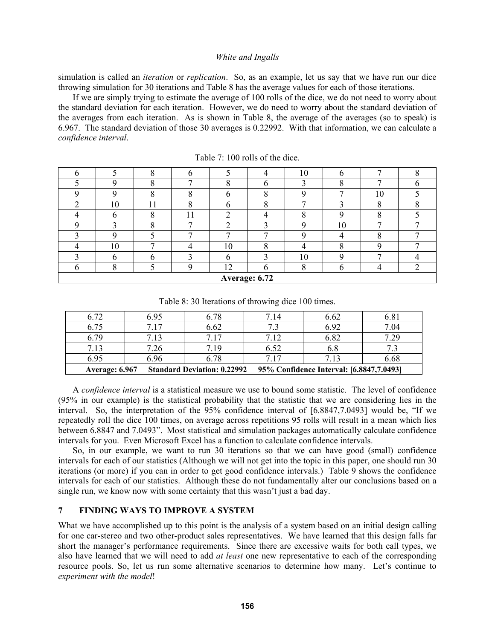simulation is called an *iteration* or *replication*. So, as an example, let us say that we have run our dice throwing simulation for 30 iterations and Table 8 has the average values for each of those iterations.

If we are simply trying to estimate the average of 100 rolls of the dice, we do not need to worry about the standard deviation for each iteration. However, we do need to worry about the standard deviation of the averages from each iteration. As is shown in Table 8, the average of the averages (so to speak) is 6.967. The standard deviation of those 30 averages is 0.22992. With that information, we can calculate a *confidence interval*.

|   |    | Ω |    |    |                      | 10 |    |                |  |
|---|----|---|----|----|----------------------|----|----|----------------|--|
|   |    |   |    |    |                      |    |    | $\overline{ }$ |  |
|   |    |   |    |    |                      |    |    | 10             |  |
| ◠ | 10 |   |    |    | ິດ                   |    |    | ົ              |  |
|   |    |   | 11 |    |                      |    |    |                |  |
|   |    |   |    |    |                      |    | 10 |                |  |
|   |    |   |    |    |                      |    |    |                |  |
|   | 10 |   |    | 10 |                      |    |    |                |  |
|   |    |   |    | n  |                      | 10 |    |                |  |
|   |    |   |    | 12 |                      |    |    |                |  |
|   |    |   |    |    | <b>Average: 6.72</b> |    |    |                |  |

|  |  | Table 7: 100 rolls of the dice. |
|--|--|---------------------------------|
|--|--|---------------------------------|

| 6.72                                                        | 6.95 |      | .14  | 6.62                                     | 6.81 |
|-------------------------------------------------------------|------|------|------|------------------------------------------|------|
| 6.75                                                        | 7.17 | 6.62 |      | 6.92                                     | 7.04 |
| 6.79                                                        | 7.13 | 7.17 | 7.12 | 6.82                                     | 7.29 |
| 7.13                                                        | 7.26 | 7.19 | 6.52 | 6.8                                      |      |
| 6.95                                                        | 6.96 | 6.78 | 717  | 7.13                                     | 6.68 |
| <b>Standard Deviation: 0.22992</b><br><b>Average: 6.967</b> |      |      |      | 95% Confidence Interval: [6.8847,7.0493] |      |

Table 8: 30 Iterations of throwing dice 100 times.

A *confidence interval* is a statistical measure we use to bound some statistic. The level of confidence (95% in our example) is the statistical probability that the statistic that we are considering lies in the interval. So, the interpretation of the 95% confidence interval of [6.8847,7.0493] would be, "If we repeatedly roll the dice 100 times, on average across repetitions 95 rolls will result in a mean which lies between 6.8847 and 7.0493". Most statistical and simulation packages automatically calculate confidence intervals for you. Even Microsoft Excel has a function to calculate confidence intervals.

So, in our example, we want to run 30 iterations so that we can have good (small) confidence intervals for each of our statistics (Although we will not get into the topic in this paper, one should run 30 iterations (or more) if you can in order to get good confidence intervals.) Table 9 shows the confidence intervals for each of our statistics. Although these do not fundamentally alter our conclusions based on a single run, we know now with some certainty that this wasn't just a bad day.

# **7 FINDING WAYS TO IMPROVE A SYSTEM**

What we have accomplished up to this point is the analysis of a system based on an initial design calling for one car-stereo and two other-product sales representatives. We have learned that this design falls far short the manager's performance requirements. Since there are excessive waits for both call types, we also have learned that we will need to add *at least* one new representative to each of the corresponding resource pools. So, let us run some alternative scenarios to determine how many. Let's continue to *experiment with the model*!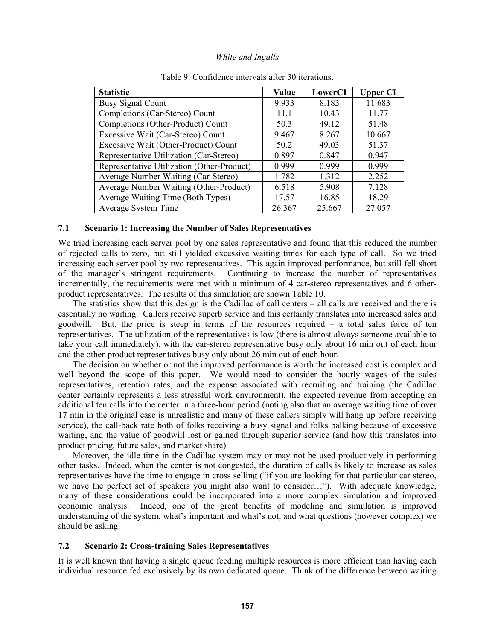| <b>Statistic</b>                           | Value  | LowerCI | <b>Upper CI</b> |
|--------------------------------------------|--------|---------|-----------------|
| <b>Busy Signal Count</b>                   | 9.933  | 8.183   | 11.683          |
| Completions (Car-Stereo) Count             | 11.1   | 10.43   | 11.77           |
| Completions (Other-Product) Count          | 50.3   | 49.12   | 51.48           |
| Excessive Wait (Car-Stereo) Count          | 9.467  | 8.267   | 10.667          |
| Excessive Wait (Other-Product) Count       | 50.2   | 49.03   | 51.37           |
| Representative Utilization (Car-Stereo)    | 0.897  | 0.847   | 0.947           |
| Representative Utilization (Other-Product) | 0.999  | 0.999   | 0.999           |
| Average Number Waiting (Car-Stereo)        | 1.782  | 1.312   | 2.252           |
| Average Number Waiting (Other-Product)     | 6.518  | 5.908   | 7.128           |
| Average Waiting Time (Both Types)          | 17.57  | 16.85   | 18.29           |
| Average System Time                        | 26.367 | 25.667  | 27.057          |

#### Table 9: Confidence intervals after 30 iterations.

### **7.1 Scenario 1: Increasing the Number of Sales Representatives**

We tried increasing each server pool by one sales representative and found that this reduced the number of rejected calls to zero, but still yielded excessive waiting times for each type of call. So we tried increasing each server pool by two representatives. This again improved performance, but still fell short of the manager's stringent requirements. Continuing to increase the number of representatives incrementally, the requirements were met with a minimum of 4 car-stereo representatives and 6 otherproduct representatives. The results of this simulation are shown Table 10.

The statistics show that this design is the Cadillac of call centers – all calls are received and there is essentially no waiting. Callers receive superb service and this certainly translates into increased sales and goodwill. But, the price is steep in terms of the resources required – a total sales force of ten representatives. The utilization of the representatives is low (there is almost always someone available to take your call immediately), with the car-stereo representative busy only about 16 min out of each hour and the other-product representatives busy only about 26 min out of each hour.

The decision on whether or not the improved performance is worth the increased cost is complex and well beyond the scope of this paper. We would need to consider the hourly wages of the sales representatives, retention rates, and the expense associated with recruiting and training (the Cadillac center certainly represents a less stressful work environment), the expected revenue from accepting an additional ten calls into the center in a three-hour period (noting also that an average waiting time of over 17 min in the original case is unrealistic and many of these callers simply will hang up before receiving service), the call-back rate both of folks receiving a busy signal and folks balking because of excessive waiting, and the value of goodwill lost or gained through superior service (and how this translates into product pricing, future sales, and market share).

Moreover, the idle time in the Cadillac system may or may not be used productively in performing other tasks. Indeed, when the center is not congested, the duration of calls is likely to increase as sales representatives have the time to engage in cross selling ("if you are looking for that particular car stereo, we have the perfect set of speakers you might also want to consider…"). With adequate knowledge, many of these considerations could be incorporated into a more complex simulation and improved economic analysis. Indeed, one of the great benefits of modeling and simulation is improved understanding of the system, what's important and what's not, and what questions (however complex) we should be asking.

# **7.2 Scenario 2: Cross-training Sales Representatives**

It is well known that having a single queue feeding multiple resources is more efficient than having each individual resource fed exclusively by its own dedicated queue. Think of the difference between waiting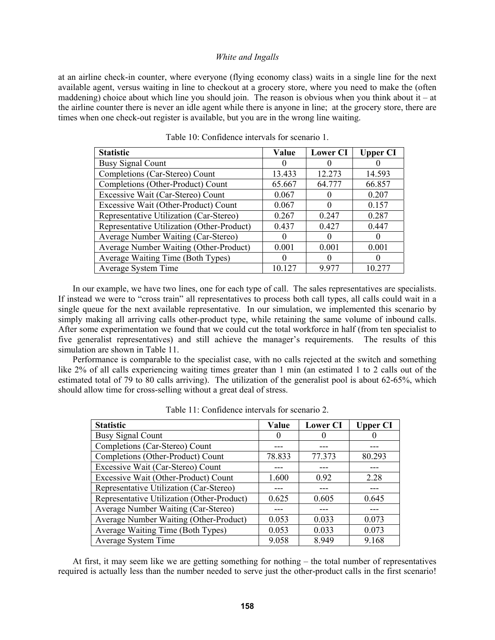at an airline check-in counter, where everyone (flying economy class) waits in a single line for the next available agent, versus waiting in line to checkout at a grocery store, where you need to make the (often maddening) choice about which line you should join. The reason is obvious when you think about it – at the airline counter there is never an idle agent while there is anyone in line; at the grocery store, there are times when one check-out register is available, but you are in the wrong line waiting.

| <b>Statistic</b>                           | Value  | <b>Lower CI</b> | <b>Upper CI</b> |
|--------------------------------------------|--------|-----------------|-----------------|
| <b>Busy Signal Count</b>                   |        |                 |                 |
| Completions (Car-Stereo) Count             | 13.433 | 12.273          | 14.593          |
| Completions (Other-Product) Count          | 65.667 | 64.777          | 66.857          |
| Excessive Wait (Car-Stereo) Count          | 0.067  |                 | 0.207           |
| Excessive Wait (Other-Product) Count       | 0.067  |                 | 0.157           |
| Representative Utilization (Car-Stereo)    | 0.267  | 0.247           | 0.287           |
| Representative Utilization (Other-Product) | 0.437  | 0.427           | 0.447           |
| Average Number Waiting (Car-Stereo)        |        |                 |                 |
| Average Number Waiting (Other-Product)     | 0.001  | 0.001           | 0.001           |
| Average Waiting Time (Both Types)          |        |                 |                 |
| Average System Time                        | 10.127 | 9.977           | 10.277          |

Table 10: Confidence intervals for scenario 1.

In our example, we have two lines, one for each type of call. The sales representatives are specialists. If instead we were to "cross train" all representatives to process both call types, all calls could wait in a single queue for the next available representative. In our simulation, we implemented this scenario by simply making all arriving calls other-product type, while retaining the same volume of inbound calls. After some experimentation we found that we could cut the total workforce in half (from ten specialist to five generalist representatives) and still achieve the manager's requirements. The results of this simulation are shown in Table 11.

Performance is comparable to the specialist case, with no calls rejected at the switch and something like 2% of all calls experiencing waiting times greater than 1 min (an estimated 1 to 2 calls out of the estimated total of 79 to 80 calls arriving). The utilization of the generalist pool is about 62-65%, which should allow time for cross-selling without a great deal of stress.

| <b>Statistic</b>                           | Value    | <b>Lower CI</b> | <b>Upper CI</b> |
|--------------------------------------------|----------|-----------------|-----------------|
| <b>Busy Signal Count</b>                   | $\theta$ |                 |                 |
| Completions (Car-Stereo) Count             |          |                 |                 |
| Completions (Other-Product) Count          | 78.833   | 77.373          | 80.293          |
| Excessive Wait (Car-Stereo) Count          |          |                 |                 |
| Excessive Wait (Other-Product) Count       | 1.600    | 0.92            | 2.28            |
| Representative Utilization (Car-Stereo)    |          |                 |                 |
| Representative Utilization (Other-Product) | 0.625    | 0.605           | 0.645           |
| Average Number Waiting (Car-Stereo)        |          |                 |                 |
| Average Number Waiting (Other-Product)     | 0.053    | 0.033           | 0.073           |
| Average Waiting Time (Both Types)          | 0.053    | 0.033           | 0.073           |
| Average System Time                        | 9.058    | 8.949           | 9.168           |

Table 11: Confidence intervals for scenario 2.

At first, it may seem like we are getting something for nothing – the total number of representatives required is actually less than the number needed to serve just the other-product calls in the first scenario!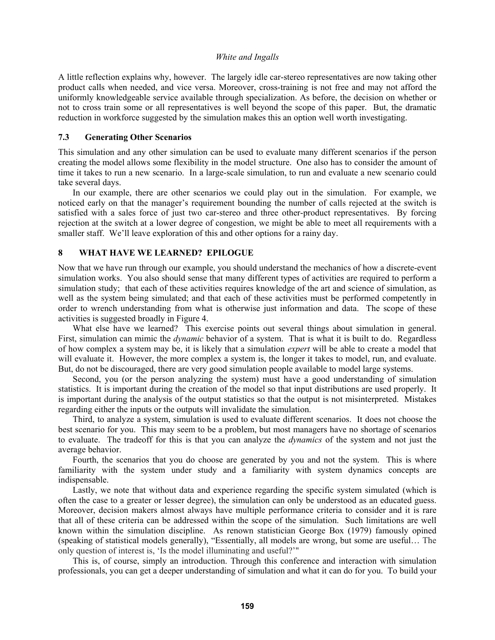A little reflection explains why, however. The largely idle car-stereo representatives are now taking other product calls when needed, and vice versa. Moreover, cross-training is not free and may not afford the uniformly knowledgeable service available through specialization. As before, the decision on whether or not to cross train some or all representatives is well beyond the scope of this paper. But, the dramatic reduction in workforce suggested by the simulation makes this an option well worth investigating.

#### **7.3 Generating Other Scenarios**

This simulation and any other simulation can be used to evaluate many different scenarios if the person creating the model allows some flexibility in the model structure. One also has to consider the amount of time it takes to run a new scenario. In a large-scale simulation, to run and evaluate a new scenario could take several days.

In our example, there are other scenarios we could play out in the simulation. For example, we noticed early on that the manager's requirement bounding the number of calls rejected at the switch is satisfied with a sales force of just two car-stereo and three other-product representatives. By forcing rejection at the switch at a lower degree of congestion, we might be able to meet all requirements with a smaller staff. We'll leave exploration of this and other options for a rainy day.

# **8 WHAT HAVE WE LEARNED? EPILOGUE**

Now that we have run through our example, you should understand the mechanics of how a discrete-event simulation works. You also should sense that many different types of activities are required to perform a simulation study; that each of these activities requires knowledge of the art and science of simulation, as well as the system being simulated; and that each of these activities must be performed competently in order to wrench understanding from what is otherwise just information and data. The scope of these activities is suggested broadly in Figure 4.

What else have we learned? This exercise points out several things about simulation in general. First, simulation can mimic the *dynamic* behavior of a system. That is what it is built to do. Regardless of how complex a system may be, it is likely that a simulation *expert* will be able to create a model that will evaluate it. However, the more complex a system is, the longer it takes to model, run, and evaluate. But, do not be discouraged, there are very good simulation people available to model large systems.

Second, you (or the person analyzing the system) must have a good understanding of simulation statistics. It is important during the creation of the model so that input distributions are used properly. It is important during the analysis of the output statistics so that the output is not misinterpreted. Mistakes regarding either the inputs or the outputs will invalidate the simulation.

Third, to analyze a system, simulation is used to evaluate different scenarios. It does not choose the best scenario for you. This may seem to be a problem, but most managers have no shortage of scenarios to evaluate. The tradeoff for this is that you can analyze the *dynamics* of the system and not just the average behavior.

Fourth, the scenarios that you do choose are generated by you and not the system. This is where familiarity with the system under study and a familiarity with system dynamics concepts are indispensable.

Lastly, we note that without data and experience regarding the specific system simulated (which is often the case to a greater or lesser degree), the simulation can only be understood as an educated guess. Moreover, decision makers almost always have multiple performance criteria to consider and it is rare that all of these criteria can be addressed within the scope of the simulation. Such limitations are well known within the simulation discipline. As renown statistician George Box (1979) famously opined (speaking of statistical models generally), "Essentially, all models are wrong, but some are useful… The only question of interest is, 'Is the model illuminating and useful?'"

This is, of course, simply an introduction. Through this conference and interaction with simulation professionals, you can get a deeper understanding of simulation and what it can do for you. To build your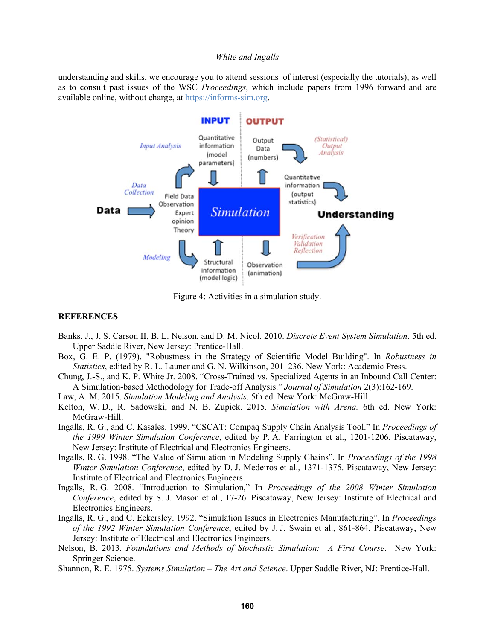understanding and skills, we encourage you to attend sessions of interest (especially the tutorials), as well as to consult past issues of the WSC *Proceedings*, which include papers from 1996 forward and are available online, without charge, at https://informs-sim.org.



Figure 4: Activities in a simulation study.

#### **REFERENCES**

- Banks, J., J. S. Carson II, B. L. Nelson, and D. M. Nicol. 2010. *Discrete Event System Simulation*. 5th ed. Upper Saddle River, New Jersey: Prentice-Hall.
- Box, G. E. P. (1979). "Robustness in the Strategy of Scientific Model Building". In *Robustness in Statistics*, edited by R. L. Launer and G. N. Wilkinson, 201–236. New York: Academic Press.
- Chung, J.-S., and K. P. White Jr. 2008. "Cross-Trained vs. Specialized Agents in an Inbound Call Center: A Simulation-based Methodology for Trade-off Analysis." *Journal of Simulation* 2(3):162-169.
- Law, A. M. 2015. *Simulation Modeling and Analysis*. 5th ed. New York: McGraw-Hill.
- Kelton, W. D., R. Sadowski, and N. B. Zupick. 2015. *Simulation with Arena.* 6th ed. New York: McGraw-Hill.
- Ingalls, R. G., and C. Kasales. 1999. "CSCAT: Compaq Supply Chain Analysis Tool." In *Proceedings of the 1999 Winter Simulation Conference*, edited by P. A. Farrington et al., 1201-1206. Piscataway, New Jersey: Institute of Electrical and Electronics Engineers.
- Ingalls, R. G. 1998. "The Value of Simulation in Modeling Supply Chains". In *Proceedings of the 1998 Winter Simulation Conference*, edited by D. J. Medeiros et al., 1371-1375. Piscataway, New Jersey: Institute of Electrical and Electronics Engineers.
- Ingalls, R. G. 2008. "Introduction to Simulation," In *Proceedings of the 2008 Winter Simulation Conference*, edited by S. J. Mason et al., 17-26. Piscataway, New Jersey: Institute of Electrical and Electronics Engineers.
- Ingalls, R. G., and C. Eckersley. 1992. "Simulation Issues in Electronics Manufacturing". In *Proceedings of the 1992 Winter Simulation Conference*, edited by J. J. Swain et al., 861-864. Piscataway, New Jersey: Institute of Electrical and Electronics Engineers.
- Nelson, B. 2013. *Foundations and Methods of Stochastic Simulation: A First Course*. New York: Springer Science.
- Shannon, R. E. 1975. *Systems Simulation The Art and Science*. Upper Saddle River, NJ: Prentice-Hall.